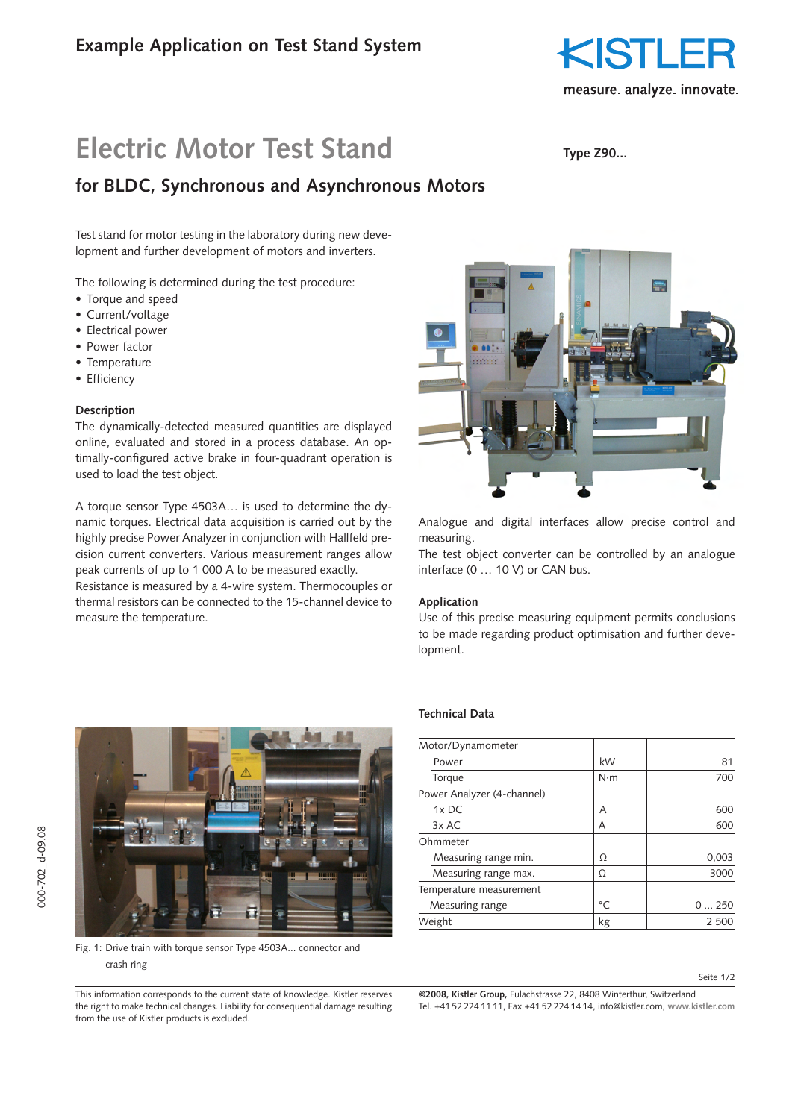

# **Electric Motor Test Stand**

# **Type Z90...**

# **for BLDC, Synchronous and Asynchronous Motors**

Test stand for motor testing in the laboratory during new development and further development of motors and inverters.

The following is determined during the test procedure:

- Torque and speed
- Current/voltage
- Electrical power
- Power factor
- Temperature
- Efficiency

#### **Description**

The dynamically-detected measured quantities are displayed online, evaluated and stored in a process database. An optimally-configured active brake in four-quadrant operation is used to load the test object.

A torque sensor Type 4503A… is used to determine the dynamic torques. Electrical data acquisition is carried out by the highly precise Power Analyzer in conjunction with Hallfeld precision current converters. Various measurement ranges allow peak currents of up to 1 000 A to be measured exactly.

Resistance is measured by a 4-wire system. Thermocouples or thermal resistors can be connected to the 15-channel device to measure the temperature.



Analogue and digital interfaces allow precise control and measuring.

The test object converter can be controlled by an analogue interface (0 … 10 V) or CAN bus.

## **Application**

Use of this precise measuring equipment permits conclusions to be made regarding product optimisation and further development.



Fig. 1: Drive train with torque sensor Type 4503A... connector and crash ring

#### This information corresponds to the current state of knowledge. Kistler reserves the right to make technical changes. Liability for consequential damage resulting from the use of Kistler products is excluded.

# **Technical Data**

| Motor/Dynamometer          |             |       |
|----------------------------|-------------|-------|
| Power                      | kW          | 81    |
| Torque                     | $N \cdot m$ | 700   |
| Power Analyzer (4-channel) |             |       |
| 1x DC                      | A           | 600   |
| 3x AC                      | Α           | 600   |
| Ohmmeter                   |             |       |
| Measuring range min.       | Ω           | 0,003 |
| Measuring range max.       | Ω           | 3000  |
| Temperature measurement    |             |       |
| Measuring range            | °C          | 0250  |
| Weight                     | kg          | 2 500 |

**©2008, Kistler Group,** Eulachstrasse 22, 8408 Winterthur, Switzerland Tel. +41 52 224 11 11, Fax +41 52 224 14 14, info@kistler.com, **www.kistler.com**